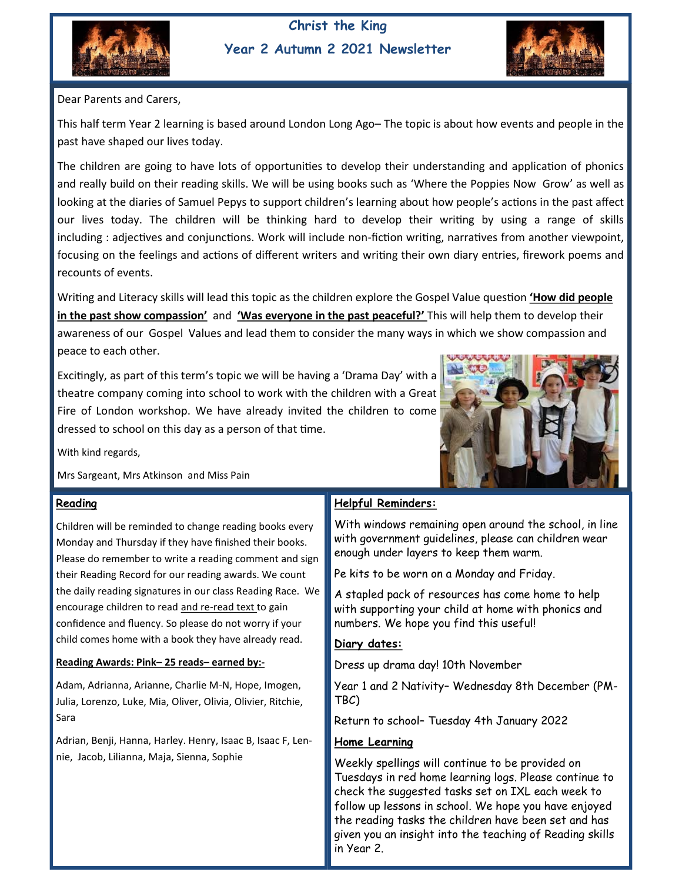

### **Christ the King Year 2 Autumn 2 2021 Newsletter**



Dear Parents and Carers,

This half term Year 2 learning is based around London Long Ago– The topic is about how events and people in the past have shaped our lives today.

The children are going to have lots of opportunities to develop their understanding and application of phonics and really build on their reading skills. We will be using books such as 'Where the Poppies Now Grow' as well as looking at the diaries of Samuel Pepys to support children's learning about how people's actions in the past affect our lives today. The children will be thinking hard to develop their writing by using a range of skills including : adjectives and conjunctions. Work will include non-fiction writing, narratives from another viewpoint, focusing on the feelings and actions of different writers and writing their own diary entries, firework poems and recounts of events.

Writing and Literacy skills will lead this topic as the children explore the Gospel Value question **'How did people in the past show compassion'** and **'Was everyone in the past peaceful?'** This will help them to develop their awareness of our Gospel Values and lead them to consider the many ways in which we show compassion and peace to each other.

Excitingly, as part of this term's topic we will be having a 'Drama Day' with a theatre company coming into school to work with the children with a Great Fire of London workshop. We have already invited the children to come dressed to school on this day as a person of that time.



With kind regards,

Mrs Sargeant, Mrs Atkinson and Miss Pain

#### **Reading**

Children will be reminded to change reading books every Monday and Thursday if they have finished their books. Please do remember to write a reading comment and sign their Reading Record for our reading awards. We count the daily reading signatures in our class Reading Race. We encourage children to read and re-read text to gain confidence and fluency. So please do not worry if your child comes home with a book they have already read.

#### **Reading Awards: Pink– 25 reads– earned by:-**

Adam, Adrianna, Arianne, Charlie M-N, Hope, Imogen, Julia, Lorenzo, Luke, Mia, Oliver, Olivia, Olivier, Ritchie, Sara

Adrian, Benji, Hanna, Harley. Henry, Isaac B, Isaac F, Lennie, Jacob, Lilianna, Maja, Sienna, Sophie

### **Helpful Reminders:**

With windows remaining open around the school, in line with government guidelines, please can children wear enough under layers to keep them warm.

Pe kits to be worn on a Monday and Friday.

A stapled pack of resources has come home to help with supporting your child at home with phonics and numbers. We hope you find this useful!

#### **Diary dates:**

Dress up drama day! 10th November

Year 1 and 2 Nativity– Wednesday 8th December (PM-TBC)

Return to school– Tuesday 4th January 2022

#### **Home Learning**

Weekly spellings will continue to be provided on Tuesdays in red home learning logs. Please continue to check the suggested tasks set on IXL each week to follow up lessons in school. We hope you have enjoyed the reading tasks the children have been set and has given you an insight into the teaching of Reading skills in Year 2.